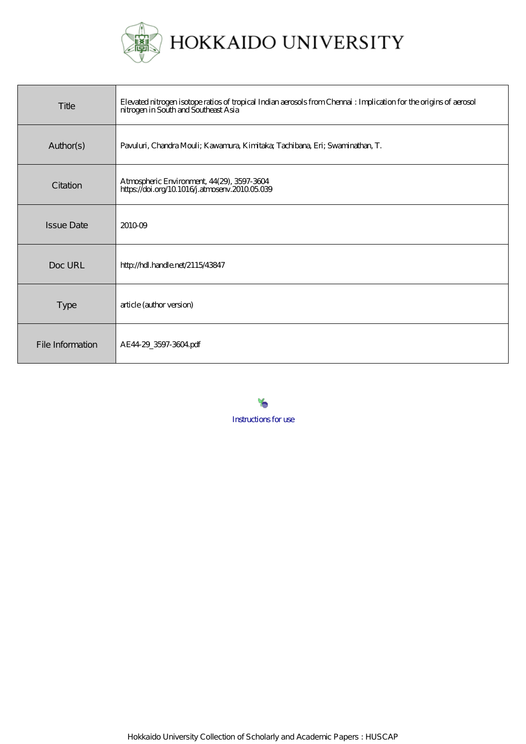

| Title             | Elevated nitrogen isotope ratios of tropical Indian aerosols from Chennai : Implication for the origins of aerosol<br>nitrogen in South and Southeast Asia |
|-------------------|------------------------------------------------------------------------------------------------------------------------------------------------------------|
| Author(s)         | Pavuluri, Chandra Mouli; Kawamura, Kimitaka; Tachibana, Eri; Swaminathan, T.                                                                               |
| Citation          | Atmospheric Environment, 44(29), 3597-3604<br>https://doi.org/10.1016/j.atmosenv.201005.039                                                                |
| <b>Issue Date</b> | 201009                                                                                                                                                     |
| Doc URL           | http://hdl.handle.net/2115/43847                                                                                                                           |
| Type              | article (author version)                                                                                                                                   |
| File Information  | AE44 29_3597-3604 pdf                                                                                                                                      |

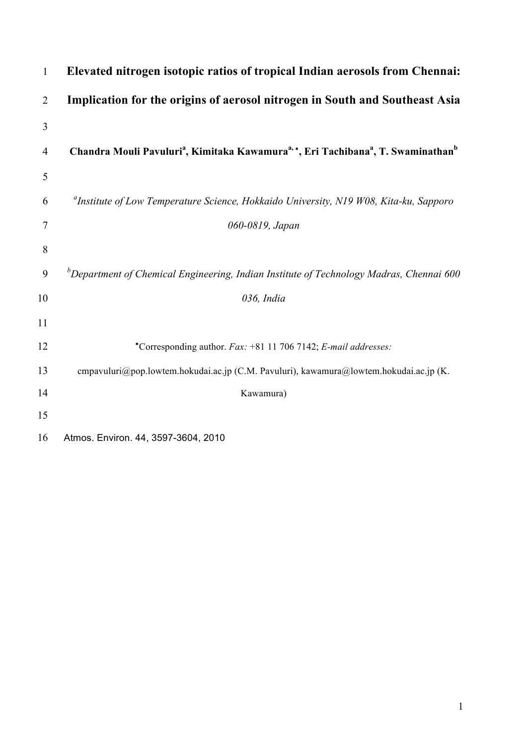| 1              | Elevated nitrogen isotopic ratios of tropical Indian aerosols from Chennai:                                                       |
|----------------|-----------------------------------------------------------------------------------------------------------------------------------|
| $\overline{2}$ | Implication for the origins of aerosol nitrogen in South and Southeast Asia                                                       |
| 3              |                                                                                                                                   |
| $\overline{4}$ | Chandra Mouli Pavuluri <sup>a</sup> , Kimitaka Kawamura <sup>a,</sup> *, Eri Tachibana <sup>a</sup> , T. Swaminathan <sup>b</sup> |
| 5              |                                                                                                                                   |
| 6              | <sup>a</sup> Institute of Low Temperature Science, Hokkaido University, N19 W08, Kita-ku, Sapporo                                 |
| $\overline{7}$ | 060-0819, Japan                                                                                                                   |
| 8              |                                                                                                                                   |
| 9              | ${}^b$ Department of Chemical Engineering, Indian Institute of Technology Madras, Chennai 600                                     |
| 10             | 036, India                                                                                                                        |
| 11             |                                                                                                                                   |
| 12             | *Corresponding author. Fax: +81 11 706 7142; E-mail addresses:                                                                    |
| 13             | cmpavuluri@pop.lowtem.hokudai.ac.jp (C.M. Pavuluri), kawamura@lowtem.hokudai.ac.jp (K.                                            |
| 14             | Kawamura)                                                                                                                         |
| 15             |                                                                                                                                   |
| 16             | Atmos. Environ. 44, 3597-3604, 2010                                                                                               |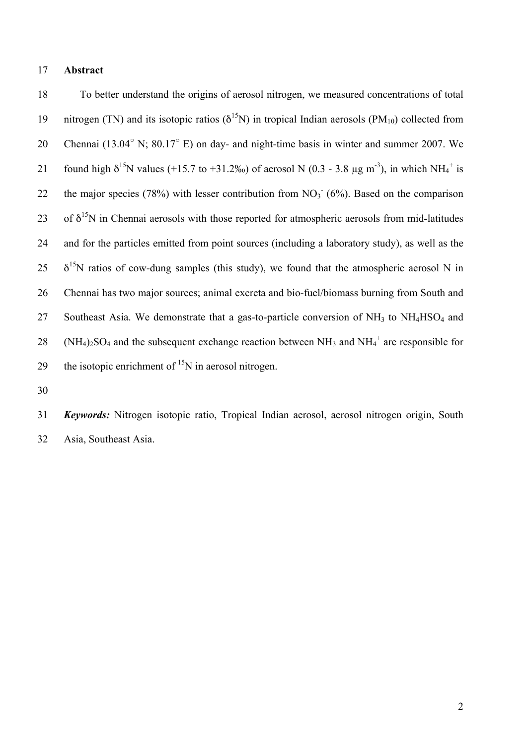#### 17 **Abstract**

18 To better understand the origins of aerosol nitrogen, we measured concentrations of total 19 nitrogen (TN) and its isotopic ratios ( $\delta^{15}$ N) in tropical Indian aerosols (PM<sub>10</sub>) collected from 20 Chennai (13.04 $^{\circ}$  N; 80.17 $^{\circ}$  E) on day- and night-time basis in winter and summer 2007. We 21 found high  $\delta^{15}N$  values (+15.7 to +31.2‰) of aerosol N (0.3 - 3.8 µg m<sup>-3</sup>), in which NH<sub>4</sub><sup>+</sup> is 22 the major species (78%) with lesser contribution from  $NO<sub>3</sub><sup>-</sup> (6%)$ . Based on the comparison 23 of  $\delta^{15}$ N in Chennai aerosols with those reported for atmospheric aerosols from mid-latitudes 24 and for the particles emitted from point sources (including a laboratory study), as well as the  $25 \frac{\delta^{15}N}{N}$  ratios of cow-dung samples (this study), we found that the atmospheric aerosol N in 26 Chennai has two major sources; animal excreta and bio-fuel/biomass burning from South and 27 Southeast Asia. We demonstrate that a gas-to-particle conversion of  $NH<sub>3</sub>$  to  $NH<sub>4</sub>HSO<sub>4</sub>$  and 28 (NH<sub>4</sub>)<sub>2</sub>SO<sub>4</sub> and the subsequent exchange reaction between NH<sub>3</sub> and NH<sub>4</sub><sup>+</sup> are responsible for 29 the isotopic enrichment of  $15N$  in aerosol nitrogen.

30

31 *Keywords:* Nitrogen isotopic ratio, Tropical Indian aerosol, aerosol nitrogen origin, South 32 Asia, Southeast Asia.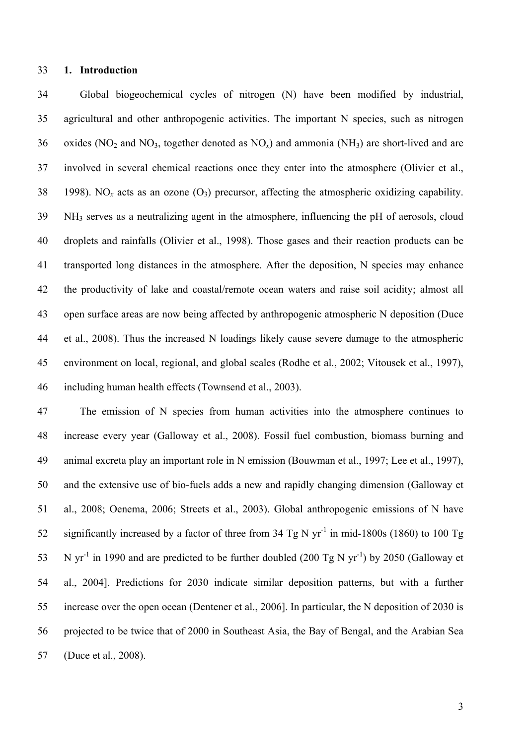#### **1. Introduction**

 Global biogeochemical cycles of nitrogen (N) have been modified by industrial, agricultural and other anthropogenic activities. The important N species, such as nitrogen 36 oxides (NO<sub>2</sub> and NO<sub>3</sub>, together denoted as NO<sub>x</sub>) and ammonia (NH<sub>3</sub>) are short-lived and are involved in several chemical reactions once they enter into the atmosphere (Olivier et al., 38 1998). NO<sub>x</sub> acts as an ozone  $(O_3)$  precursor, affecting the atmospheric oxidizing capability. NH3 serves as a neutralizing agent in the atmosphere, influencing the pH of aerosols, cloud droplets and rainfalls (Olivier et al., 1998). Those gases and their reaction products can be transported long distances in the atmosphere. After the deposition, N species may enhance the productivity of lake and coastal/remote ocean waters and raise soil acidity; almost all open surface areas are now being affected by anthropogenic atmospheric N deposition (Duce et al., 2008). Thus the increased N loadings likely cause severe damage to the atmospheric environment on local, regional, and global scales (Rodhe et al., 2002; Vitousek et al., 1997), including human health effects (Townsend et al., 2003).

 The emission of N species from human activities into the atmosphere continues to increase every year (Galloway et al., 2008). Fossil fuel combustion, biomass burning and animal excreta play an important role in N emission (Bouwman et al., 1997; Lee et al., 1997), and the extensive use of bio-fuels adds a new and rapidly changing dimension (Galloway et al., 2008; Oenema, 2006; Streets et al., 2003). Global anthropogenic emissions of N have 52 significantly increased by a factor of three from 34 Tg N yr<sup>-1</sup> in mid-1800s (1860) to 100 Tg 53 N yr<sup>-1</sup> in 1990 and are predicted to be further doubled (200 Tg N yr<sup>-1</sup>) by 2050 (Galloway et al., 2004]. Predictions for 2030 indicate similar deposition patterns, but with a further increase over the open ocean (Dentener et al., 2006]. In particular, the N deposition of 2030 is projected to be twice that of 2000 in Southeast Asia, the Bay of Bengal, and the Arabian Sea (Duce et al., 2008).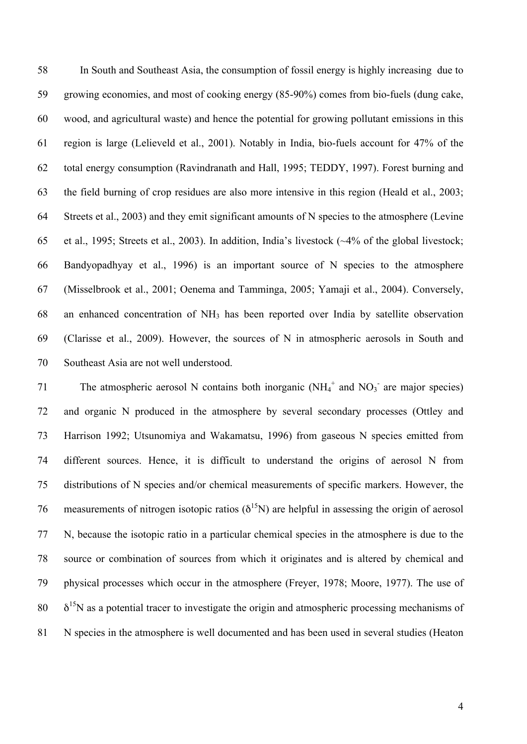In South and Southeast Asia, the consumption of fossil energy is highly increasing due to growing economies, and most of cooking energy (85-90%) comes from bio-fuels (dung cake, wood, and agricultural waste) and hence the potential for growing pollutant emissions in this region is large (Lelieveld et al., 2001). Notably in India, bio-fuels account for 47% of the total energy consumption (Ravindranath and Hall, 1995; TEDDY, 1997). Forest burning and the field burning of crop residues are also more intensive in this region (Heald et al., 2003; Streets et al., 2003) and they emit significant amounts of N species to the atmosphere (Levine et al., 1995; Streets et al., 2003). In addition, India's livestock (~4% of the global livestock; Bandyopadhyay et al., 1996) is an important source of N species to the atmosphere (Misselbrook et al., 2001; Oenema and Tamminga, 2005; Yamaji et al., 2004). Conversely, an enhanced concentration of NH3 has been reported over India by satellite observation (Clarisse et al., 2009). However, the sources of N in atmospheric aerosols in South and Southeast Asia are not well understood.

71 The atmospheric aerosol N contains both inorganic  $(NH_4^+$  and  $NO_3^-$  are major species) and organic N produced in the atmosphere by several secondary processes (Ottley and Harrison 1992; Utsunomiya and Wakamatsu, 1996) from gaseous N species emitted from different sources. Hence, it is difficult to understand the origins of aerosol N from distributions of N species and/or chemical measurements of specific markers. However, the 76 measurements of nitrogen isotopic ratios ( $\delta^{15}$ N) are helpful in assessing the origin of aerosol N, because the isotopic ratio in a particular chemical species in the atmosphere is due to the source or combination of sources from which it originates and is altered by chemical and physical processes which occur in the atmosphere (Freyer, 1978; Moore, 1977). The use of  $\delta^{15}$ N as a potential tracer to investigate the origin and atmospheric processing mechanisms of N species in the atmosphere is well documented and has been used in several studies (Heaton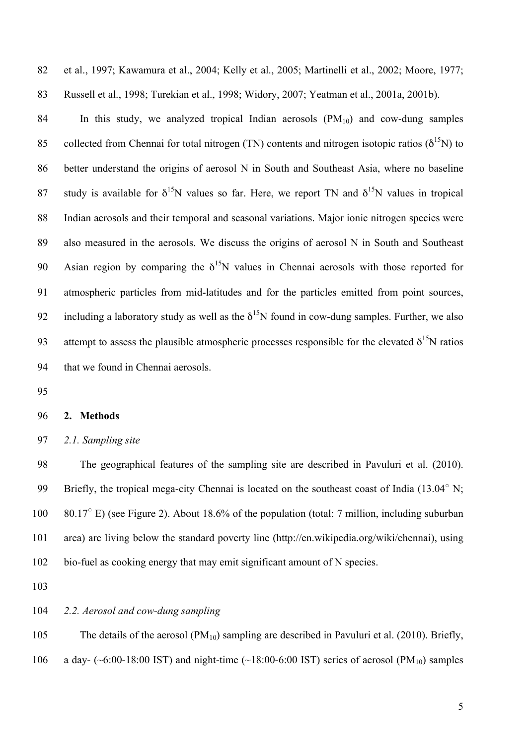et al., 1997; Kawamura et al., 2004; Kelly et al., 2005; Martinelli et al., 2002; Moore, 1977; Russell et al., 1998; Turekian et al., 1998; Widory, 2007; Yeatman et al., 2001a, 2001b).

84 In this study, we analyzed tropical Indian aerosols  $(PM_{10})$  and cow-dung samples 85 collected from Chennai for total nitrogen (TN) contents and nitrogen isotopic ratios ( $\delta^{15}$ N) to 86 better understand the origins of aerosol N in South and Southeast Asia, where no baseline 87 study is available for  $\delta^{15}N$  values so far. Here, we report TN and  $\delta^{15}N$  values in tropical Indian aerosols and their temporal and seasonal variations. Major ionic nitrogen species were also measured in the aerosols. We discuss the origins of aerosol N in South and Southeast 90 Asian region by comparing the  $\delta^{15}N$  values in Chennai aerosols with those reported for atmospheric particles from mid-latitudes and for the particles emitted from point sources, 92 including a laboratory study as well as the  $\delta^{15}N$  found in cow-dung samples. Further, we also 93 attempt to assess the plausible atmospheric processes responsible for the elevated  $\delta^{15}N$  ratios that we found in Chennai aerosols.

#### **2. Methods**

*2.1. Sampling site*

 The geographical features of the sampling site are described in Pavuluri et al. (2010). 99 Briefly, the tropical mega-city Chennai is located on the southeast coast of India (13.04 $^{\circ}$  N;  $80.17^{\circ}$  E) (see Figure 2). About 18.6% of the population (total: 7 million, including suburban area) are living below the standard poverty line (http://en.wikipedia.org/wiki/chennai), using bio-fuel as cooking energy that may emit significant amount of N species.

# *2.2. Aerosol and cow-dung sampling*

 The details of the aerosol (PM10) sampling are described in Pavuluri et al. (2010). Briefly, 106 a day- (~6:00-18:00 IST) and night-time (~18:00-6:00 IST) series of aerosol (PM<sub>10</sub>) samples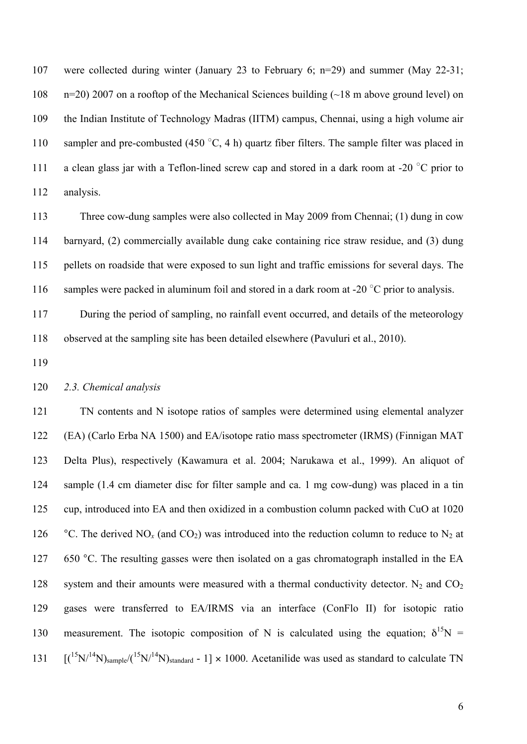were collected during winter (January 23 to February 6; n=29) and summer (May 22-31; n=20) 2007 on a rooftop of the Mechanical Sciences building (~18 m above ground level) on the Indian Institute of Technology Madras (IITM) campus, Chennai, using a high volume air 110 sampler and pre-combusted (450 $\degree$ C, 4 h) quartz fiber filters. The sample filter was placed in 111 a clean glass jar with a Teflon-lined screw cap and stored in a dark room at -20  $^{\circ}$ C prior to analysis.

 Three cow-dung samples were also collected in May 2009 from Chennai; (1) dung in cow barnyard, (2) commercially available dung cake containing rice straw residue, and (3) dung pellets on roadside that were exposed to sun light and traffic emissions for several days. The 116 samples were packed in aluminum foil and stored in a dark room at -20  $^{\circ}$ C prior to analysis.

 During the period of sampling, no rainfall event occurred, and details of the meteorology observed at the sampling site has been detailed elsewhere (Pavuluri et al., 2010).

## *2.3. Chemical analysis*

 TN contents and N isotope ratios of samples were determined using elemental analyzer (EA) (Carlo Erba NA 1500) and EA/isotope ratio mass spectrometer (IRMS) (Finnigan MAT Delta Plus), respectively (Kawamura et al. 2004; Narukawa et al., 1999). An aliquot of sample (1.4 cm diameter disc for filter sample and ca. 1 mg cow-dung) was placed in a tin cup, introduced into EA and then oxidized in a combustion column packed with CuO at 1020 126 °C. The derived NO<sub>x</sub> (and CO<sub>2</sub>) was introduced into the reduction column to reduce to N<sub>2</sub> at 127 650 °C. The resulting gasses were then isolated on a gas chromatograph installed in the EA 128 system and their amounts were measured with a thermal conductivity detector.  $N_2$  and  $CO_2$  gases were transferred to EA/IRMS via an interface (ConFlo II) for isotopic ratio 130 measurement. The isotopic composition of N is calculated using the equation;  $\delta^{15}N =$  $[(^{15}N)^{14}N)_{sample}/(^{15}N)^{14}N)_{standard}$  - 1] × 1000. Acetanilide was used as standard to calculate TN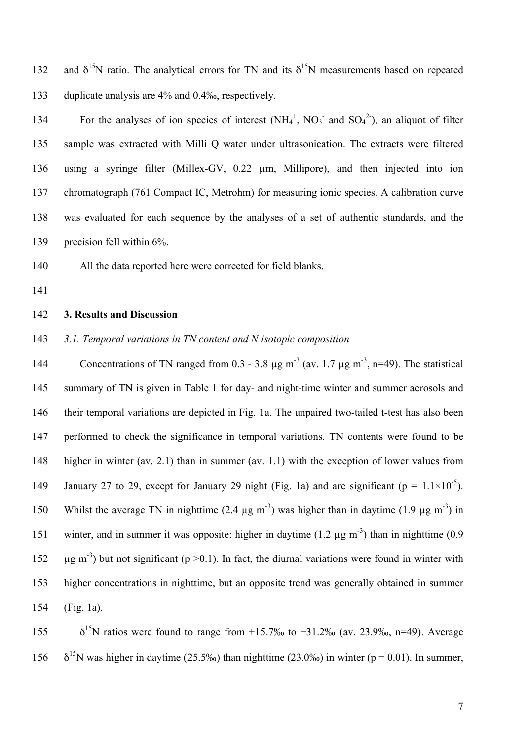132 and  $\delta^{15}N$  ratio. The analytical errors for TN and its  $\delta^{15}N$  measurements based on repeated duplicate analysis are 4% and 0.4‰, respectively.

134 For the analyses of ion species of interest  $(NH_4^+, NO_3^-$  and  $SO_4^2$ ), an aliquot of filter sample was extracted with Milli Q water under ultrasonication. The extracts were filtered using a syringe filter (Millex-GV, 0.22 µm, Millipore), and then injected into ion chromatograph (761 Compact IC, Metrohm) for measuring ionic species. A calibration curve was evaluated for each sequence by the analyses of a set of authentic standards, and the precision fell within 6%.

All the data reported here were corrected for field blanks.

# **3. Results and Discussion**

*3.1. Temporal variations in TN content and N isotopic composition*

144 Concentrations of TN ranged from 0.3 - 3.8  $\mu$ g m<sup>-3</sup> (av. 1.7  $\mu$ g m<sup>-3</sup>, n=49). The statistical summary of TN is given in Table 1 for day- and night-time winter and summer aerosols and their temporal variations are depicted in Fig. 1a. The unpaired two-tailed t-test has also been performed to check the significance in temporal variations. TN contents were found to be higher in winter (av. 2.1) than in summer (av. 1.1) with the exception of lower values from January 27 to 29, except for January 29 night (Fig. 1a) and are significant ( $p = 1.1 \times 10^{-5}$ ). 150 Whilst the average TN in nighttime  $(2.4 \mu g m^{-3})$  was higher than in daytime  $(1.9 \mu g m^{-3})$  in 151 winter, and in summer it was opposite: higher in daytime  $(1.2 \mu g m<sup>-3</sup>)$  than in nighttime  $(0.9 \mu m<sup>-3</sup>)$  $\mu$ g m<sup>-3</sup>) but not significant (p > 0.1). In fact, the diurnal variations were found in winter with higher concentrations in nighttime, but an opposite trend was generally obtained in summer (Fig. 1a).

155  $\delta^{15}$ N ratios were found to range from +15.7‰ to +31.2‰ (av. 23.9‰, n=49). Average 156  $\delta^{15}$ N was higher in daytime (25.5‰) than nighttime (23.0‰) in winter (p = 0.01). In summer,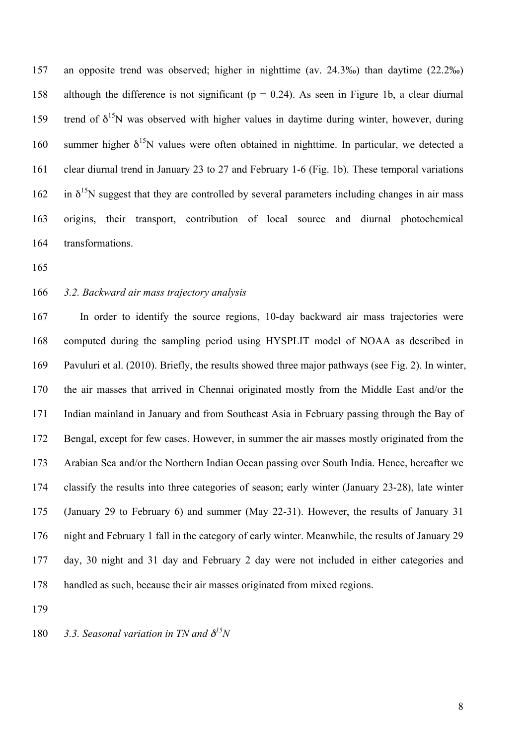an opposite trend was observed; higher in nighttime (av. 24.3‰) than daytime (22.2‰) 158 although the difference is not significant ( $p = 0.24$ ). As seen in Figure 1b, a clear diurnal 159 trend of  $\delta^{15}N$  was observed with higher values in daytime during winter, however, during 160 summer higher  $\delta^{15}$ N values were often obtained in nighttime. In particular, we detected a clear diurnal trend in January 23 to 27 and February 1-6 (Fig. 1b). These temporal variations 162 in  $\delta^{15}$ N suggest that they are controlled by several parameters including changes in air mass origins, their transport, contribution of local source and diurnal photochemical transformations.

#### *3.2. Backward air mass trajectory analysis*

 In order to identify the source regions, 10-day backward air mass trajectories were computed during the sampling period using HYSPLIT model of NOAA as described in Pavuluri et al. (2010). Briefly, the results showed three major pathways (see Fig. 2). In winter, the air masses that arrived in Chennai originated mostly from the Middle East and/or the Indian mainland in January and from Southeast Asia in February passing through the Bay of Bengal, except for few cases. However, in summer the air masses mostly originated from the Arabian Sea and/or the Northern Indian Ocean passing over South India. Hence, hereafter we classify the results into three categories of season; early winter (January 23-28), late winter (January 29 to February 6) and summer (May 22-31). However, the results of January 31 night and February 1 fall in the category of early winter. Meanwhile, the results of January 29 day, 30 night and 31 day and February 2 day were not included in either categories and handled as such, because their air masses originated from mixed regions.

180  $\quad$  3.3. Seasonal variation in TN and  $\delta^{15}N$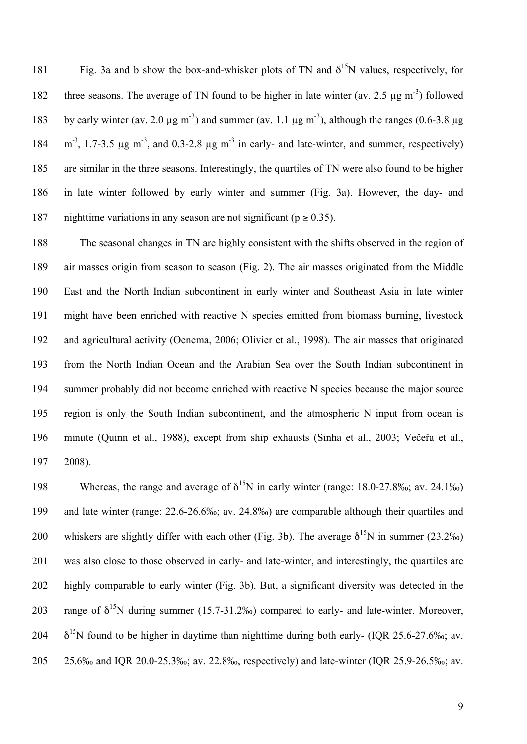181 Fig. 3a and b show the box-and-whisker plots of TN and  $\delta^{15}$ N values, respectively, for 182 three seasons. The average of TN found to be higher in late winter (av. 2.5  $\mu$ g m<sup>-3</sup>) followed 183 by early winter (av. 2.0  $\mu$ g m<sup>-3</sup>) and summer (av. 1.1  $\mu$ g m<sup>-3</sup>), although the ranges (0.6-3.8  $\mu$ g 184  $\text{m}^3$ , 1.7-3.5  $\mu$ g m<sup>-3</sup>, and 0.3-2.8  $\mu$ g m<sup>-3</sup> in early- and late-winter, and summer, respectively) are similar in the three seasons. Interestingly, the quartiles of TN were also found to be higher in late winter followed by early winter and summer (Fig. 3a). However, the day- and 187 nighttime variations in any season are not significant ( $p \ge 0.35$ ).

 The seasonal changes in TN are highly consistent with the shifts observed in the region of air masses origin from season to season (Fig. 2). The air masses originated from the Middle East and the North Indian subcontinent in early winter and Southeast Asia in late winter might have been enriched with reactive N species emitted from biomass burning, livestock and agricultural activity (Oenema, 2006; Olivier et al., 1998). The air masses that originated from the North Indian Ocean and the Arabian Sea over the South Indian subcontinent in summer probably did not become enriched with reactive N species because the major source region is only the South Indian subcontinent, and the atmospheric N input from ocean is minute (Quinn et al., 1988), except from ship exhausts (Sinha et al., 2003; Večeřa et al., 2008).

198 Whereas, the range and average of  $\delta^{15}N$  in early winter (range: 18.0-27.8‰; av. 24.1‰) and late winter (range: 22.6-26.6‰; av. 24.8‰) are comparable although their quartiles and 200 whiskers are slightly differ with each other (Fig. 3b). The average  $\delta^{15}N$  in summer (23.2‰) was also close to those observed in early- and late-winter, and interestingly, the quartiles are highly comparable to early winter (Fig. 3b). But, a significant diversity was detected in the 203 range of  $\delta^{15}N$  during summer (15.7-31.2‰) compared to early- and late-winter. Moreover,  $\delta^{15}$ N found to be higher in daytime than nighttime during both early- (IQR 25.6-27.6‰; av. 25.6‰ and IQR 20.0-25.3‰; av. 22.8‰, respectively) and late-winter (IQR 25.9-26.5‰; av.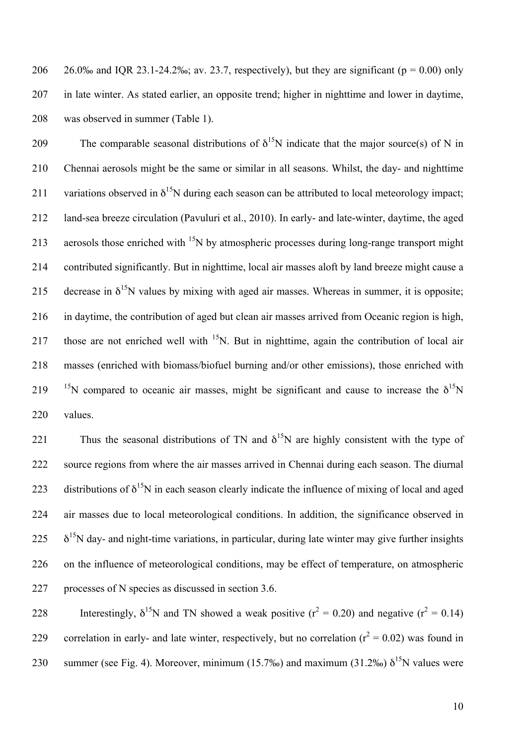206 26.0‰ and IOR 23.1-24.2‰; av. 23.7, respectively), but they are significant ( $p = 0.00$ ) only 207 in late winter. As stated earlier, an opposite trend; higher in nighttime and lower in daytime, 208 was observed in summer (Table 1).

209 The comparable seasonal distributions of  $\delta^{15}N$  indicate that the major source(s) of N in 210 Chennai aerosols might be the same or similar in all seasons. Whilst, the day- and nighttime 211 variations observed in  $\delta^{15}N$  during each season can be attributed to local meteorology impact; 212 land-sea breeze circulation (Pavuluri et al., 2010). In early- and late-winter, daytime, the aged 213 aerosols those enriched with  $15N$  by atmospheric processes during long-range transport might 214 contributed significantly. But in nighttime, local air masses aloft by land breeze might cause a 215 decrease in  $\delta^{15}N$  values by mixing with aged air masses. Whereas in summer, it is opposite; 216 in daytime, the contribution of aged but clean air masses arrived from Oceanic region is high, 217 those are not enriched well with  $15N$ . But in nighttime, again the contribution of local air 218 masses (enriched with biomass/biofuel burning and/or other emissions), those enriched with 219 <sup>15</sup>N compared to oceanic air masses, might be significant and cause to increase the  $\delta^{15}N$ 220 values.

221 Thus the seasonal distributions of TN and  $\delta^{15}$ N are highly consistent with the type of 222 source regions from where the air masses arrived in Chennai during each season. The diurnal 223 distributions of  $\delta^{15}N$  in each season clearly indicate the influence of mixing of local and aged 224 air masses due to local meteorological conditions. In addition, the significance observed in  $225 \delta^{15}$ N day- and night-time variations, in particular, during late winter may give further insights 226 on the influence of meteorological conditions, may be effect of temperature, on atmospheric 227 processes of N species as discussed in section 3.6.

228 Interestingly,  $\delta^{15}N$  and TN showed a weak positive ( $r^2 = 0.20$ ) and negative ( $r^2 = 0.14$ ) correlation in early- and late winter, respectively, but no correlation ( $r^2 = 0.02$ ) was found in 230 summer (see Fig. 4). Moreover, minimum (15.7‰) and maximum (31.2‰)  $\delta^{15}N$  values were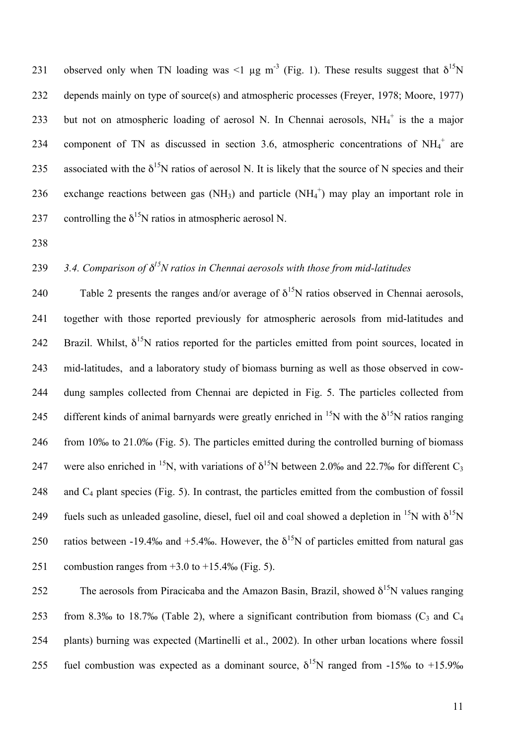231 observed only when TN loading was <1 μg m<sup>-3</sup> (Fig. 1). These results suggest that  $\delta^{15}N$ 232 depends mainly on type of source(s) and atmospheric processes (Freyer, 1978; Moore, 1977) 233 but not on atmospheric loading of aerosol N. In Chennai aerosols,  $NH_4^+$  is the a major 234 component of TN as discussed in section 3.6, atmospheric concentrations of  $NH_4^+$  are 235 associated with the  $\delta^{15}N$  ratios of aerosol N. It is likely that the source of N species and their 236 exchange reactions between gas  $(NH_3)$  and particle  $(NH_4^+)$  may play an important role in 237 controlling the  $\delta^{15}$ N ratios in atmospheric aerosol N.

238

# *3.4. Comparison of* δ *<sup>15</sup>* 239 *N ratios in Chennai aerosols with those from mid-latitudes*

240 Table 2 presents the ranges and/or average of  $\delta^{15}N$  ratios observed in Chennai aerosols, 241 together with those reported previously for atmospheric aerosols from mid-latitudes and 242 Brazil. Whilst,  $\delta^{15}N$  ratios reported for the particles emitted from point sources, located in 243 mid-latitudes, and a laboratory study of biomass burning as well as those observed in cow-244 dung samples collected from Chennai are depicted in Fig. 5. The particles collected from 245 different kinds of animal barnyards were greatly enriched in <sup>15</sup>N with the  $\delta^{15}N$  ratios ranging 246 from 10‰ to 21.0‰ (Fig. 5). The particles emitted during the controlled burning of biomass 247 were also enriched in <sup>15</sup>N, with variations of  $\delta^{15}N$  between 2.0‰ and 22.7‰ for different C<sub>3</sub> 248 and C4 plant species (Fig. 5). In contrast, the particles emitted from the combustion of fossil 249 fuels such as unleaded gasoline, diesel, fuel oil and coal showed a depletion in <sup>15</sup>N with  $\delta^{15}N$ 250 ratios between -19.4‰ and +5.4‰. However, the  $\delta^{15}N$  of particles emitted from natural gas 251 combustion ranges from  $+3.0$  to  $+15.4%$  (Fig. 5).

252 The aerosols from Piracicaba and the Amazon Basin, Brazil, showed  $\delta^{15}N$  values ranging 253 from 8.3‰ to 18.7‰ (Table 2), where a significant contribution from biomass ( $C_3$  and  $C_4$ ) 254 plants) burning was expected (Martinelli et al., 2002). In other urban locations where fossil 255 fuel combustion was expected as a dominant source,  $\delta^{15}N$  ranged from -15‰ to +15.9‰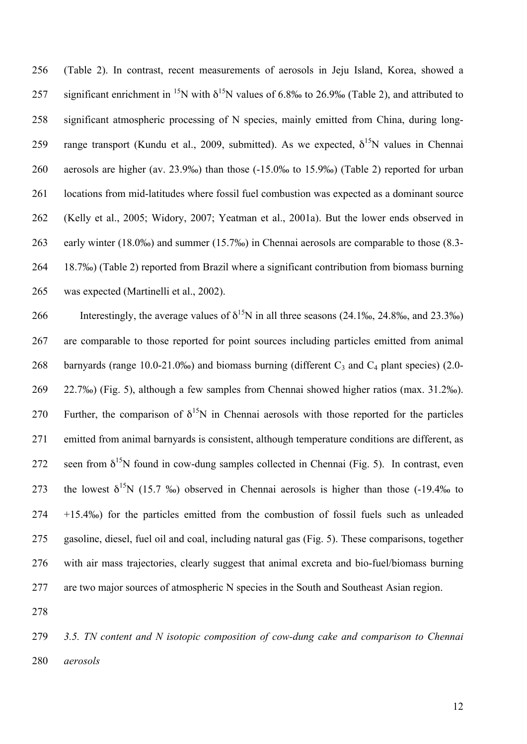(Table 2). In contrast, recent measurements of aerosols in Jeju Island, Korea, showed a 257 significant enrichment in <sup>15</sup>N with  $\delta^{15}N$  values of 6.8‰ to 26.9‰ (Table 2), and attributed to significant atmospheric processing of N species, mainly emitted from China, during long-259 range transport (Kundu et al., 2009, submitted). As we expected,  $\delta^{15}N$  values in Chennai aerosols are higher (av. 23.9‰) than those (-15.0‰ to 15.9‰) (Table 2) reported for urban locations from mid-latitudes where fossil fuel combustion was expected as a dominant source (Kelly et al., 2005; Widory, 2007; Yeatman et al., 2001a). But the lower ends observed in early winter (18.0‰) and summer (15.7‰) in Chennai aerosols are comparable to those (8.3- 18.7‰) (Table 2) reported from Brazil where a significant contribution from biomass burning was expected (Martinelli et al., 2002).

266 Interestingly, the average values of  $\delta^{15}$ N in all three seasons (24.1‰, 24.8‰, and 23.3‰) are comparable to those reported for point sources including particles emitted from animal 268 barnyards (range 10.0-21.0‰) and biomass burning (different  $C_3$  and  $C_4$  plant species) (2.0- 22.7‰) (Fig. 5), although a few samples from Chennai showed higher ratios (max. 31.2‰). 270 Further, the comparison of  $\delta^{15}N$  in Chennai aerosols with those reported for the particles emitted from animal barnyards is consistent, although temperature conditions are different, as 272 seen from  $\delta^{15}N$  found in cow-dung samples collected in Chennai (Fig. 5). In contrast, even 273 the lowest  $\delta^{15}N$  (15.7 ‰) observed in Chennai aerosols is higher than those (-19.4‰ to +15.4‰) for the particles emitted from the combustion of fossil fuels such as unleaded gasoline, diesel, fuel oil and coal, including natural gas (Fig. 5). These comparisons, together with air mass trajectories, clearly suggest that animal excreta and bio-fuel/biomass burning are two major sources of atmospheric N species in the South and Southeast Asian region.

 *3.5. TN content and N isotopic composition of cow-dung cake and comparison to Chennai aerosols*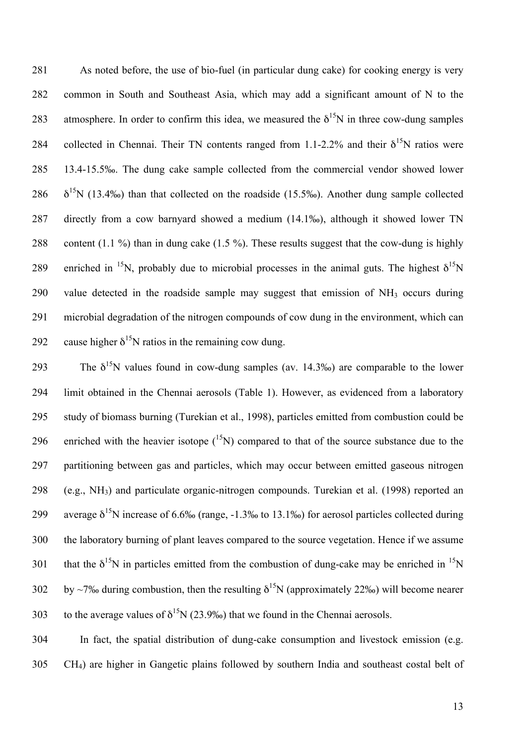As noted before, the use of bio-fuel (in particular dung cake) for cooking energy is very common in South and Southeast Asia, which may add a significant amount of N to the 283 atmosphere. In order to confirm this idea, we measured the  $\delta^{15}N$  in three cow-dung samples 284 collected in Chennai. Their TN contents ranged from 1.1-2.2% and their  $\delta^{15}N$  ratios were 13.4-15.5‰. The dung cake sample collected from the commercial vendor showed lower  $\delta^{15}$ N (13.4‰) than that collected on the roadside (15.5‰). Another dung sample collected directly from a cow barnyard showed a medium (14.1‰), although it showed lower TN content (1.1 %) than in dung cake (1.5 %). These results suggest that the cow-dung is highly 289 enriched in <sup>15</sup>N, probably due to microbial processes in the animal guts. The highest  $\delta^{15}N$  value detected in the roadside sample may suggest that emission of NH3 occurs during microbial degradation of the nitrogen compounds of cow dung in the environment, which can 292 cause higher  $\delta^{15}$ N ratios in the remaining cow dung.

293 The  $\delta^{15}$ N values found in cow-dung samples (av. 14.3‰) are comparable to the lower limit obtained in the Chennai aerosols (Table 1). However, as evidenced from a laboratory study of biomass burning (Turekian et al., 1998), particles emitted from combustion could be 296 enriched with the heavier isotope  $(^{15}N)$  compared to that of the source substance due to the partitioning between gas and particles, which may occur between emitted gaseous nitrogen (e.g., NH3) and particulate organic-nitrogen compounds. Turekian et al. (1998) reported an 299 average  $\delta^{15}$ N increase of 6.6‰ (range, -1.3‰ to 13.1‰) for aerosol particles collected during the laboratory burning of plant leaves compared to the source vegetation. Hence if we assume 301 that the  $\delta^{15}N$  in particles emitted from the combustion of dung-cake may be enriched in  $^{15}N$  by ~7‰ during combustion, then the resulting  $\delta^{15}N$  (approximately 22‰) will become nearer 303 to the average values of  $\delta^{15}N$  (23.9‰) that we found in the Chennai aerosols.

 In fact, the spatial distribution of dung-cake consumption and livestock emission (e.g. CH4) are higher in Gangetic plains followed by southern India and southeast costal belt of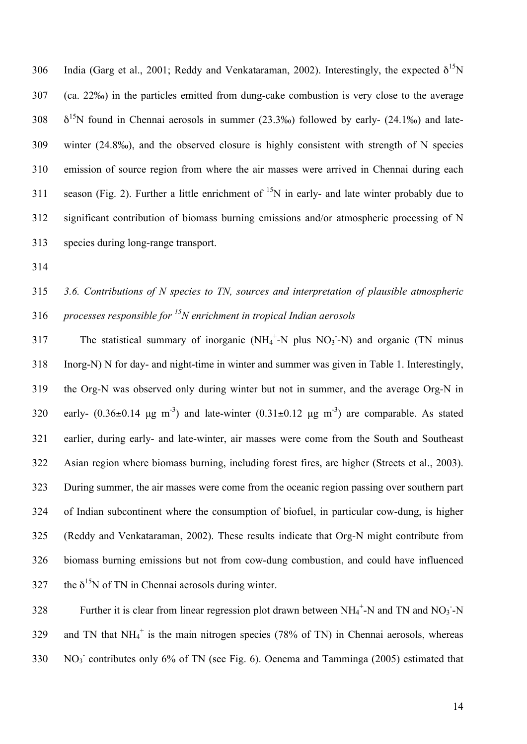306 India (Garg et al., 2001; Reddy and Venkataraman, 2002). Interestingly, the expected  $δ<sup>15</sup>N$  (ca. 22‰) in the particles emitted from dung-cake combustion is very close to the average  $\delta^{15}$ N found in Chennai aerosols in summer (23.3‰) followed by early- (24.1‰) and late- winter (24.8‰), and the observed closure is highly consistent with strength of N species emission of source region from where the air masses were arrived in Chennai during each 311 season (Fig. 2). Further a little enrichment of  $15N$  in early- and late winter probably due to significant contribution of biomass burning emissions and/or atmospheric processing of N species during long-range transport.

# *3.6. Contributions of N species to TN, sources and interpretation of plausible atmospheric processes responsible for <sup>15</sup> N enrichment in tropical Indian aerosols*

317 The statistical summary of inorganic  $(NH_4^+$ -N plus  $NO_3$ -N) and organic (TN minus Inorg-N) N for day- and night-time in winter and summer was given in Table 1. Interestingly, the Org-N was observed only during winter but not in summer, and the average Org-N in 320 early-  $(0.36\pm0.14 \text{ µg m}^{-3})$  and late-winter  $(0.31\pm0.12 \text{ µg m}^{-3})$  are comparable. As stated earlier, during early- and late-winter, air masses were come from the South and Southeast Asian region where biomass burning, including forest fires, are higher (Streets et al., 2003). During summer, the air masses were come from the oceanic region passing over southern part of Indian subcontinent where the consumption of biofuel, in particular cow-dung, is higher (Reddy and Venkataraman, 2002). These results indicate that Org-N might contribute from biomass burning emissions but not from cow-dung combustion, and could have influenced 327 the  $\delta^{15}$ N of TN in Chennai aerosols during winter.

328 Further it is clear from linear regression plot drawn between  $NH_4^+$ -N and TN and NO<sub>3</sub>-N 329 and TN that  $NH_4^+$  is the main nitrogen species (78% of TN) in Chennai aerosols, whereas 330 NO<sub>3</sub> contributes only 6% of TN (see Fig. 6). Oenema and Tamminga (2005) estimated that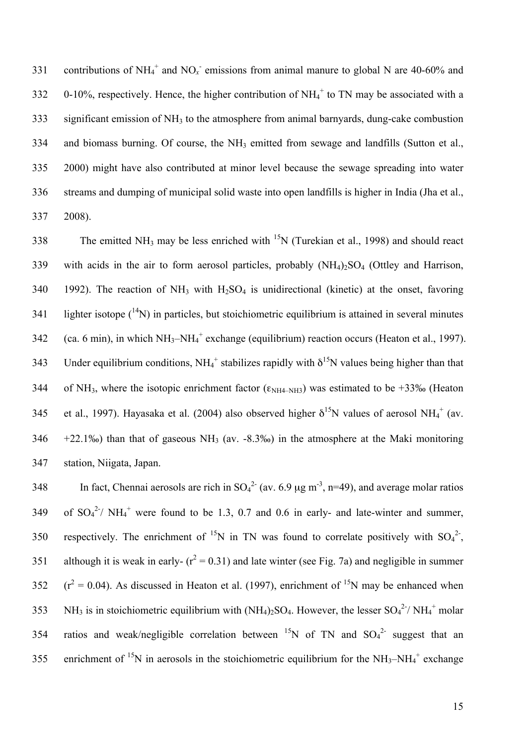331 contributions of NH<sub>4</sub><sup>+</sup> and NO<sub>x</sub> emissions from animal manure to global N are 40-60% and 332 0-10%, respectively. Hence, the higher contribution of  $NH_4^+$  to TN may be associated with a  $333$  significant emission of NH<sub>3</sub> to the atmosphere from animal barnyards, dung-cake combustion 334 and biomass burning. Of course, the NH<sub>3</sub> emitted from sewage and landfills (Sutton et al., 335 2000) might have also contributed at minor level because the sewage spreading into water 336 streams and dumping of municipal solid waste into open landfills is higher in India (Jha et al., 337 2008).

338 The emitted NH<sub>3</sub> may be less enriched with <sup>15</sup>N (Turekian et al., 1998) and should react 339 with acids in the air to form aerosol particles, probably  $(NH_4)_2SO_4$  (Ottley and Harrison, 340 1992). The reaction of NH<sub>3</sub> with H<sub>2</sub>SO<sub>4</sub> is unidirectional (kinetic) at the onset, favoring 341 lighter isotope  $({}^{14}N)$  in particles, but stoichiometric equilibrium is attained in several minutes 342 (ca. 6 min), in which  $NH_3-NH_4$ <sup>+</sup> exchange (equilibrium) reaction occurs (Heaton et al., 1997). 343 Under equilibrium conditions,  $NH_4^+$  stabilizes rapidly with  $\delta^{15}N$  values being higher than that 344 of NH<sub>3</sub>, where the isotopic enrichment factor ( $\epsilon_{NH4-NH3}$ ) was estimated to be +33‰ (Heaton 345 et al., 1997). Hayasaka et al. (2004) also observed higher  $\delta^{15}N$  values of aerosol NH<sub>4</sub><sup>+</sup> (av. 346  $+22.1\%$ ) than that of gaseous NH<sub>3</sub> (av. -8.3‰) in the atmosphere at the Maki monitoring 347 station, Niigata, Japan.

348 In fact, Chennai aerosols are rich in  $SO_4^{2}$  (av. 6.9  $\mu$ g m<sup>-3</sup>, n=49), and average molar ratios 349 of  $SO_4^2$ <sup>2</sup>/ NH<sub>4</sub><sup>+</sup> were found to be 1.3, 0.7 and 0.6 in early- and late-winter and summer, 350 respectively. The enrichment of <sup>15</sup>N in TN was found to correlate positively with  $SO_4^2$ , 351 although it is weak in early-  $(r^2 = 0.31)$  and late winter (see Fig. 7a) and negligible in summer 352  $(r^2 = 0.04)$ . As discussed in Heaton et al. (1997), enrichment of <sup>15</sup>N may be enhanced when 353 NH<sub>3</sub> is in stoichiometric equilibrium with  $(NH_4)_2SO_4$ . However, the lesser  $SO_4^2$ <sup>-/</sup> NH<sub>4</sub><sup>+</sup> molar 354 ratios and weak/negligible correlation between  ${}^{15}N$  of TN and  $SO_4{}^{2-}$  suggest that an 355 enrichment of <sup>15</sup>N in aerosols in the stoichiometric equilibrium for the  $NH_3-NH_4^+$  exchange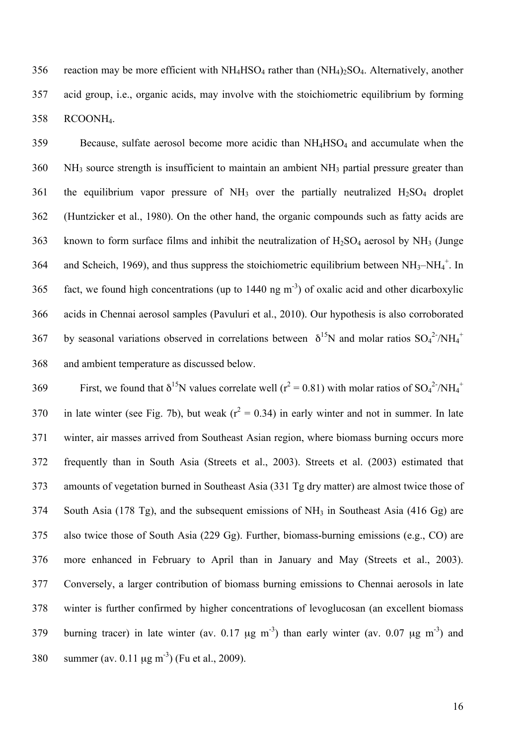356 reaction may be more efficient with  $NH_4HSO_4$  rather than  $(NH_4)_2SO_4$ . Alternatively, another acid group, i.e., organic acids, may involve with the stoichiometric equilibrium by forming RCOONH4.

 Because, sulfate aerosol become more acidic than NH4HSO4 and accumulate when the NH3 source strength is insufficient to maintain an ambient NH3 partial pressure greater than 361 the equilibrium vapor pressure of  $NH_3$  over the partially neutralized  $H_2SO_4$  droplet (Huntzicker et al., 1980). On the other hand, the organic compounds such as fatty acids are 363 known to form surface films and inhibit the neutralization of  $H_2SO_4$  aerosol by NH<sub>3</sub> (Junge 364 and Scheich, 1969), and thus suppress the stoichiometric equilibrium between  $NH_3-NH_4^+$ . In 365 fact, we found high concentrations (up to  $1440 \text{ ng m}^3$ ) of oxalic acid and other dicarboxylic acids in Chennai aerosol samples (Pavuluri et al., 2010). Our hypothesis is also corroborated 367 by seasonal variations observed in correlations between  $\delta^{15}N$  and molar ratios  $SO_4^2/NH_4^+$ and ambient temperature as discussed below.

369 First, we found that  $\delta^{15}N$  values correlate well ( $r^2 = 0.81$ ) with molar ratios of SO<sub>4</sub><sup>2</sup>/NH<sub>4</sub><sup>+</sup> 370 in late winter (see Fig. 7b), but weak ( $r^2 = 0.34$ ) in early winter and not in summer. In late winter, air masses arrived from Southeast Asian region, where biomass burning occurs more frequently than in South Asia (Streets et al., 2003). Streets et al. (2003) estimated that amounts of vegetation burned in Southeast Asia (331 Tg dry matter) are almost twice those of South Asia (178 Tg), and the subsequent emissions of NH3 in Southeast Asia (416 Gg) are also twice those of South Asia (229 Gg). Further, biomass-burning emissions (e.g., CO) are more enhanced in February to April than in January and May (Streets et al., 2003). Conversely, a larger contribution of biomass burning emissions to Chennai aerosols in late winter is further confirmed by higher concentrations of levoglucosan (an excellent biomass 379 burning tracer) in late winter (av. 0.17  $\mu$ g m<sup>-3</sup>) than early winter (av. 0.07  $\mu$ g m<sup>-3</sup>) and 380 summer (av. 0.11  $\mu$ g m<sup>-3</sup>) (Fu et al., 2009).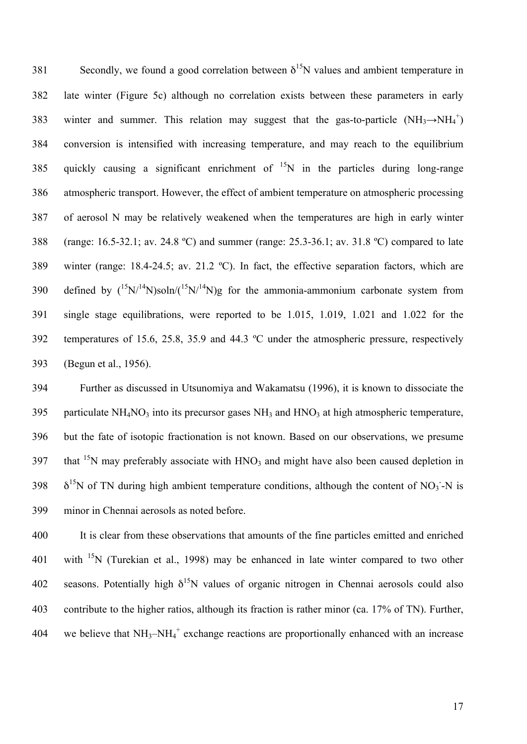Secondly, we found a good correlation between  $\delta^{15}N$  values and ambient temperature in late winter (Figure 5c) although no correlation exists between these parameters in early 383 winter and summer. This relation may suggest that the gas-to-particle  $(NH_3 \rightarrow NH_4^+)$  conversion is intensified with increasing temperature, and may reach to the equilibrium 385 quickly causing a significant enrichment of  $^{15}N$  in the particles during long-range atmospheric transport. However, the effect of ambient temperature on atmospheric processing of aerosol N may be relatively weakened when the temperatures are high in early winter (range: 16.5-32.1; av. 24.8 ºC) and summer (range: 25.3-36.1; av. 31.8 ºC) compared to late winter (range: 18.4-24.5; av. 21.2 ºC). In fact, the effective separation factors, which are 390 defined by  $({}^{15}N/{}^{14}N)$ soln/ $({}^{15}N/{}^{14}N)$ g for the ammonia-ammonium carbonate system from single stage equilibrations, were reported to be 1.015, 1.019, 1.021 and 1.022 for the temperatures of 15.6, 25.8, 35.9 and 44.3 ºC under the atmospheric pressure, respectively (Begun et al., 1956).

 Further as discussed in Utsunomiya and Wakamatsu (1996), it is known to dissociate the 395 particulate NH<sub>4</sub>NO<sub>3</sub> into its precursor gases NH<sub>3</sub> and HNO<sub>3</sub> at high atmospheric temperature, but the fate of isotopic fractionation is not known. Based on our observations, we presume 397 that <sup>15</sup>N may preferably associate with  $HNO<sub>3</sub>$  and might have also been caused depletion in  $\delta^{15}$ N of TN during high ambient temperature conditions, although the content of NO<sub>3</sub>-N is minor in Chennai aerosols as noted before.

400 It is clear from these observations that amounts of the fine particles emitted and enriched 401 with  $15N$  (Turekian et al., 1998) may be enhanced in late winter compared to two other 402 seasons. Potentially high  $\delta^{15}N$  values of organic nitrogen in Chennai aerosols could also 403 contribute to the higher ratios, although its fraction is rather minor (ca. 17% of TN). Further, 404 we believe that  $NH_3-NH_4^+$  exchange reactions are proportionally enhanced with an increase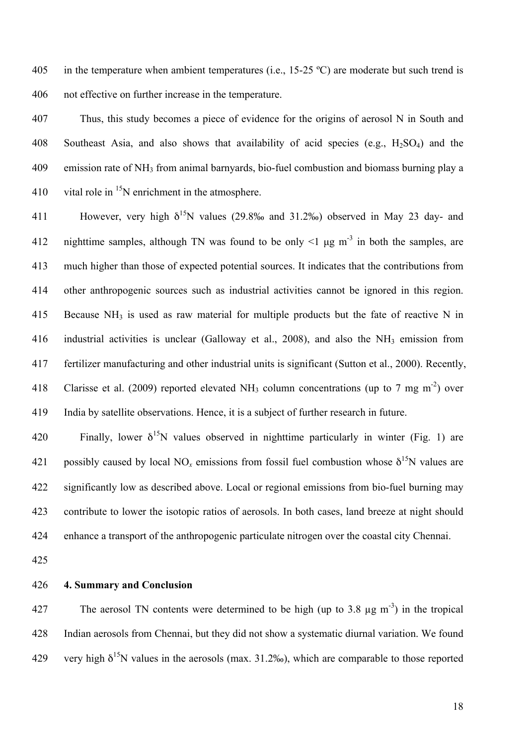405 in the temperature when ambient temperatures (i.e.,  $15{\text -}25$  °C) are moderate but such trend is 406 not effective on further increase in the temperature.

407 Thus, this study becomes a piece of evidence for the origins of aerosol N in South and 408 Southeast Asia, and also shows that availability of acid species (e.g.,  $H<sub>2</sub>SO<sub>4</sub>$ ) and the 409 emission rate of NH3 from animal barnyards, bio-fuel combustion and biomass burning play a 410 vital role in  $^{15}N$  enrichment in the atmosphere.

411 However, very high  $\delta^{15}N$  values (29.8‰ and 31.2‰) observed in May 23 day- and 412 nighttime samples, although TN was found to be only  $\leq 1$  µg m<sup>-3</sup> in both the samples, are 413 much higher than those of expected potential sources. It indicates that the contributions from 414 other anthropogenic sources such as industrial activities cannot be ignored in this region. 415 Because NH<sub>3</sub> is used as raw material for multiple products but the fate of reactive N in 416 industrial activities is unclear (Galloway et al., 2008), and also the NH3 emission from 417 fertilizer manufacturing and other industrial units is significant (Sutton et al., 2000). Recently, 418 Clarisse et al. (2009) reported elevated NH<sub>3</sub> column concentrations (up to 7 mg m<sup>-2</sup>) over 419 India by satellite observations. Hence, it is a subject of further research in future.

420 Finally, lower  $\delta^{15}N$  values observed in nighttime particularly in winter (Fig. 1) are 421 possibly caused by local NO<sub>x</sub> emissions from fossil fuel combustion whose δ<sup>15</sup>N values are 422 significantly low as described above. Local or regional emissions from bio-fuel burning may 423 contribute to lower the isotopic ratios of aerosols. In both cases, land breeze at night should 424 enhance a transport of the anthropogenic particulate nitrogen over the coastal city Chennai.

425

426 **4. Summary and Conclusion**

427 The aerosol TN contents were determined to be high (up to 3.8  $\mu$ g m<sup>-3</sup>) in the tropical 428 Indian aerosols from Chennai, but they did not show a systematic diurnal variation. We found 429 very high  $\delta^{15}N$  values in the aerosols (max. 31.2‰), which are comparable to those reported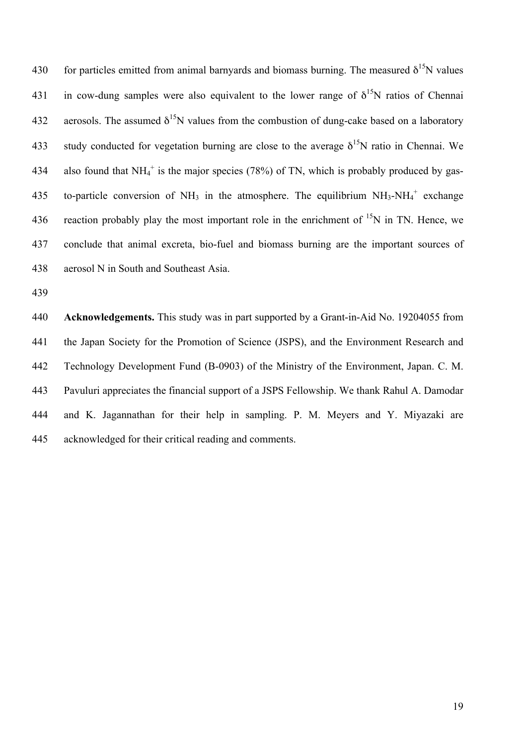430 for particles emitted from animal barnyards and biomass burning. The measured  $\delta^{15}N$  values 431 in cow-dung samples were also equivalent to the lower range of  $\delta^{15}N$  ratios of Chennai 432 aerosols. The assumed  $\delta^{15}N$  values from the combustion of dung-cake based on a laboratory 433 study conducted for vegetation burning are close to the average  $\delta^{15}N$  ratio in Chennai. We 434 also found that NH $_4^+$  is the major species (78%) of TN, which is probably produced by gas-435 to-particle conversion of NH<sub>3</sub> in the atmosphere. The equilibrium  $NH_3-NH_4^+$  exchange 436 reaction probably play the most important role in the enrichment of  $^{15}N$  in TN. Hence, we 437 conclude that animal excreta, bio-fuel and biomass burning are the important sources of 438 aerosol N in South and Southeast Asia.

439

 **Acknowledgements.** This study was in part supported by a Grant-in-Aid No. 19204055 from the Japan Society for the Promotion of Science (JSPS), and the Environment Research and Technology Development Fund (B-0903) of the Ministry of the Environment, Japan. C. M. Pavuluri appreciates the financial support of a JSPS Fellowship. We thank Rahul A. Damodar and K. Jagannathan for their help in sampling. P. M. Meyers and Y. Miyazaki are acknowledged for their critical reading and comments.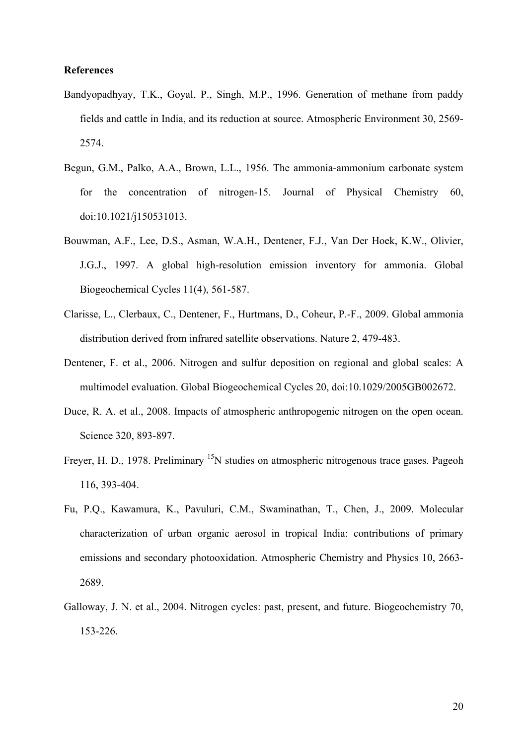#### **References**

- Bandyopadhyay, T.K., Goyal, P., Singh, M.P., 1996. Generation of methane from paddy fields and cattle in India, and its reduction at source. Atmospheric Environment 30, 2569- 2574.
- Begun, G.M., Palko, A.A., Brown, L.L., 1956. The ammonia-ammonium carbonate system for the concentration of nitrogen-15. Journal of Physical Chemistry 60, doi:10.1021/j150531013.
- Bouwman, A.F., Lee, D.S., Asman, W.A.H., Dentener, F.J., Van Der Hoek, K.W., Olivier, J.G.J., 1997. A global high-resolution emission inventory for ammonia. Global Biogeochemical Cycles 11(4), 561-587.
- Clarisse, L., Clerbaux, C., Dentener, F., Hurtmans, D., Coheur, P.-F., 2009. Global ammonia distribution derived from infrared satellite observations. Nature 2, 479-483.
- Dentener, F. et al., 2006. Nitrogen and sulfur deposition on regional and global scales: A multimodel evaluation. Global Biogeochemical Cycles 20, doi:10.1029/2005GB002672.
- Duce, R. A. et al., 2008. Impacts of atmospheric anthropogenic nitrogen on the open ocean. Science 320, 893-897.
- Freyer, H. D., 1978. Preliminary <sup>15</sup>N studies on atmospheric nitrogenous trace gases. Pageoh 116, 393-404.
- Fu, P.Q., Kawamura, K., Pavuluri, C.M., Swaminathan, T., Chen, J., 2009. Molecular characterization of urban organic aerosol in tropical India: contributions of primary emissions and secondary photooxidation. Atmospheric Chemistry and Physics 10, 2663- 2689.
- Galloway, J. N. et al., 2004. Nitrogen cycles: past, present, and future. Biogeochemistry 70, 153-226.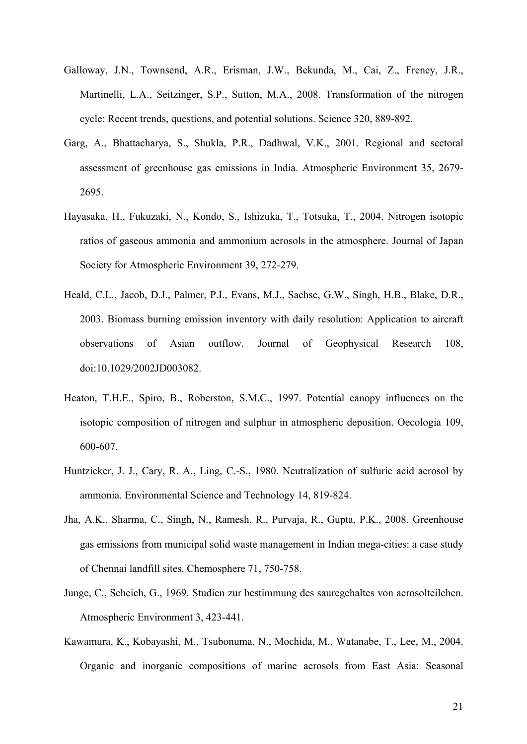- Galloway, J.N., Townsend, A.R., Erisman, J.W., Bekunda, M., Cai, Z., Freney, J.R., Martinelli, L.A., Seitzinger, S.P., Sutton, M.A., 2008. Transformation of the nitrogen cycle: Recent trends, questions, and potential solutions. Science 320, 889-892.
- Garg, A., Bhattacharya, S., Shukla, P.R., Dadhwal, V.K., 2001. Regional and sectoral assessment of greenhouse gas emissions in India. Atmospheric Environment 35, 2679- 2695.
- Hayasaka, H., Fukuzaki, N., Kondo, S., Ishizuka, T., Totsuka, T., 2004. Nitrogen isotopic ratios of gaseous ammonia and ammonium aerosols in the atmosphere. Journal of Japan Society for Atmospheric Environment 39, 272-279.
- Heald, C.L., Jacob, D.J., Palmer, P.I., Evans, M.J., Sachse, G.W., Singh, H.B., Blake, D.R., 2003. Biomass burning emission inventory with daily resolution: Application to aircraft observations of Asian outflow. Journal of Geophysical Research 108, doi:10.1029/2002JD003082.
- Heaton, T.H.E., Spiro, B., Roberston, S.M.C., 1997. Potential canopy influences on the isotopic composition of nitrogen and sulphur in atmospheric deposition. Oecologia 109, 600-607.
- Huntzicker, J. J., Cary, R. A., Ling, C.-S., 1980. Neutralization of sulfuric acid aerosol by ammonia. Environmental Science and Technology 14, 819-824.
- Jha, A.K., Sharma, C., Singh, N., Ramesh, R., Purvaja, R., Gupta, P.K., 2008. Greenhouse gas emissions from municipal solid waste management in Indian mega-cities: a case study of Chennai landfill sites. Chemosphere 71, 750-758.
- Junge, C., Scheich, G., 1969. Studien zur bestimmung des sauregehaltes von aerosolteilchen. Atmospheric Environment 3, 423-441.
- Kawamura, K., Kobayashi, M., Tsubonuma, N., Mochida, M., Watanabe, T., Lee, M., 2004. Organic and inorganic compositions of marine aerosols from East Asia: Seasonal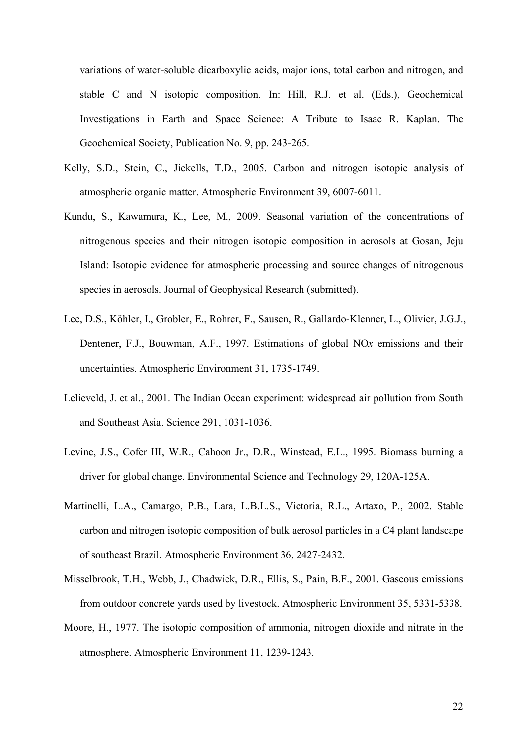variations of water-soluble dicarboxylic acids, major ions, total carbon and nitrogen, and stable C and N isotopic composition. In: Hill, R.J. et al. (Eds.), Geochemical Investigations in Earth and Space Science: A Tribute to Isaac R. Kaplan. The Geochemical Society, Publication No. 9, pp. 243-265.

- Kelly, S.D., Stein, C., Jickells, T.D., 2005. Carbon and nitrogen isotopic analysis of atmospheric organic matter. Atmospheric Environment 39, 6007-6011.
- Kundu, S., Kawamura, K., Lee, M., 2009. Seasonal variation of the concentrations of nitrogenous species and their nitrogen isotopic composition in aerosols at Gosan, Jeju Island: Isotopic evidence for atmospheric processing and source changes of nitrogenous species in aerosols. Journal of Geophysical Research (submitted).
- Lee, D.S., Köhler, I., Grobler, E., Rohrer, F., Sausen, R., Gallardo-Klenner, L., Olivier, J.G.J., Dentener, F.J., Bouwman, A.F., 1997. Estimations of global NO*x* emissions and their uncertainties. Atmospheric Environment 31, 1735-1749.
- Lelieveld, J. et al., 2001. The Indian Ocean experiment: widespread air pollution from South and Southeast Asia. Science 291, 1031-1036.
- Levine, J.S., Cofer III, W.R., Cahoon Jr., D.R., Winstead, E.L., 1995. Biomass burning a driver for global change. Environmental Science and Technology 29, 120A-125A.
- Martinelli, L.A., Camargo, P.B., Lara, L.B.L.S., Victoria, R.L., Artaxo, P., 2002. Stable carbon and nitrogen isotopic composition of bulk aerosol particles in a C4 plant landscape of southeast Brazil. Atmospheric Environment 36, 2427-2432.
- Misselbrook, T.H., Webb, J., Chadwick, D.R., Ellis, S., Pain, B.F., 2001. Gaseous emissions from outdoor concrete yards used by livestock. Atmospheric Environment 35, 5331-5338.
- Moore, H., 1977. The isotopic composition of ammonia, nitrogen dioxide and nitrate in the atmosphere. Atmospheric Environment 11, 1239-1243.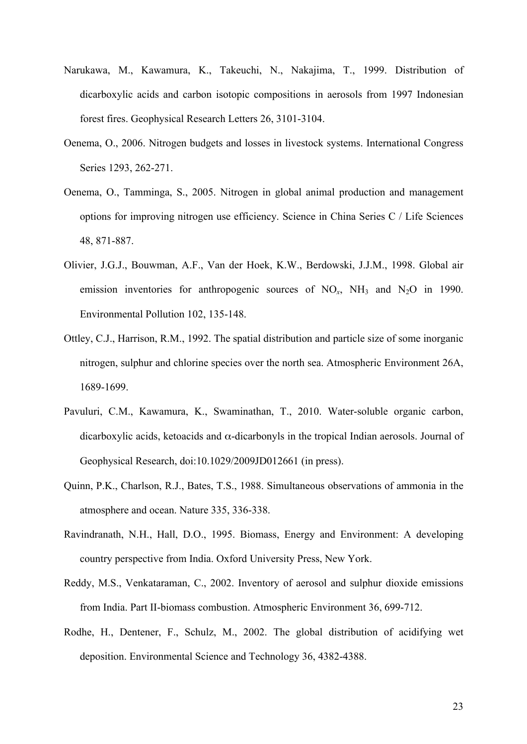- Narukawa, M., Kawamura, K., Takeuchi, N., Nakajima, T., 1999. Distribution of dicarboxylic acids and carbon isotopic compositions in aerosols from 1997 Indonesian forest fires. Geophysical Research Letters 26, 3101-3104.
- Oenema, O., 2006. Nitrogen budgets and losses in livestock systems. International Congress Series 1293, 262-271.
- Oenema, O., Tamminga, S., 2005. Nitrogen in global animal production and management options for improving nitrogen use efficiency. Science in China Series C / Life Sciences 48, 871-887.
- Olivier, J.G.J., Bouwman, A.F., Van der Hoek, K.W., Berdowski, J.J.M., 1998. Global air emission inventories for anthropogenic sources of  $NO<sub>x</sub>$ ,  $NH<sub>3</sub>$  and  $N<sub>2</sub>O$  in 1990. Environmental Pollution 102, 135-148.
- Ottley, C.J., Harrison, R.M., 1992. The spatial distribution and particle size of some inorganic nitrogen, sulphur and chlorine species over the north sea. Atmospheric Environment 26A, 1689-1699.
- Pavuluri, C.M., Kawamura, K., Swaminathan, T., 2010. Water-soluble organic carbon, dicarboxylic acids, ketoacids and  $\alpha$ -dicarbonyls in the tropical Indian aerosols. Journal of Geophysical Research, doi:10.1029/2009JD012661 (in press).
- Quinn, P.K., Charlson, R.J., Bates, T.S., 1988. Simultaneous observations of ammonia in the atmosphere and ocean. Nature 335, 336-338.
- Ravindranath, N.H., Hall, D.O., 1995. Biomass, Energy and Environment: A developing country perspective from India. Oxford University Press, New York.
- Reddy, M.S., Venkataraman, C., 2002. Inventory of aerosol and sulphur dioxide emissions from India. Part II-biomass combustion. Atmospheric Environment 36, 699-712.
- Rodhe, H., Dentener, F., Schulz, M., 2002. The global distribution of acidifying wet deposition. Environmental Science and Technology 36, 4382-4388.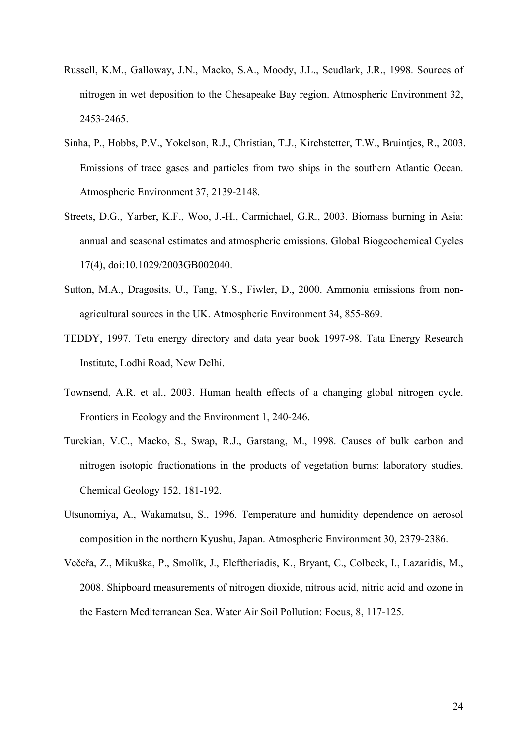- Russell, K.M., Galloway, J.N., Macko, S.A., Moody, J.L., Scudlark, J.R., 1998. Sources of nitrogen in wet deposition to the Chesapeake Bay region. Atmospheric Environment 32, 2453-2465.
- Sinha, P., Hobbs, P.V., Yokelson, R.J., Christian, T.J., Kirchstetter, T.W., Bruintjes, R., 2003. Emissions of trace gases and particles from two ships in the southern Atlantic Ocean. Atmospheric Environment 37, 2139-2148.
- Streets, D.G., Yarber, K.F., Woo, J.-H., Carmichael, G.R., 2003. Biomass burning in Asia: annual and seasonal estimates and atmospheric emissions. Global Biogeochemical Cycles 17(4), doi:10.1029/2003GB002040.
- Sutton, M.A., Dragosits, U., Tang, Y.S., Fiwler, D., 2000. Ammonia emissions from nonagricultural sources in the UK. Atmospheric Environment 34, 855-869.
- TEDDY, 1997. Teta energy directory and data year book 1997-98. Tata Energy Research Institute, Lodhi Road, New Delhi.
- Townsend, A.R. et al., 2003. Human health effects of a changing global nitrogen cycle. Frontiers in Ecology and the Environment 1, 240-246.
- Turekian, V.C., Macko, S., Swap, R.J., Garstang, M., 1998. Causes of bulk carbon and nitrogen isotopic fractionations in the products of vegetation burns: laboratory studies. Chemical Geology 152, 181-192.
- Utsunomiya, A., Wakamatsu, S., 1996. Temperature and humidity dependence on aerosol composition in the northern Kyushu, Japan. Atmospheric Environment 30, 2379-2386.
- Večeřa, Z., Mikuška, P., Smolĭk, J., Eleftheriadis, K., Bryant, C., Colbeck, I., Lazaridis, M., 2008. Shipboard measurements of nitrogen dioxide, nitrous acid, nitric acid and ozone in the Eastern Mediterranean Sea. Water Air Soil Pollution: Focus, 8, 117-125.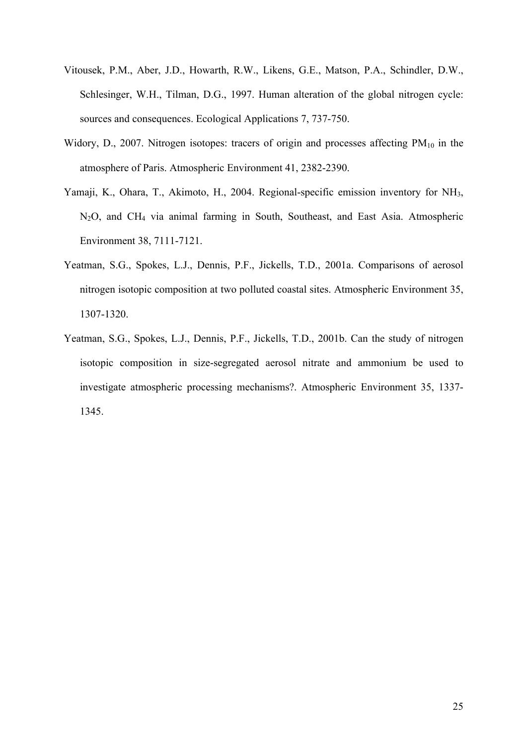- Vitousek, P.M., Aber, J.D., Howarth, R.W., Likens, G.E., Matson, P.A., Schindler, D.W., Schlesinger, W.H., Tilman, D.G., 1997. Human alteration of the global nitrogen cycle: sources and consequences. Ecological Applications 7, 737-750.
- Widory, D., 2007. Nitrogen isotopes: tracers of origin and processes affecting  $PM_{10}$  in the atmosphere of Paris. Atmospheric Environment 41, 2382-2390.
- Yamaji, K., Ohara, T., Akimoto, H., 2004. Regional-specific emission inventory for NH3, N2O, and CH4 via animal farming in South, Southeast, and East Asia. Atmospheric Environment 38, 7111-7121.
- Yeatman, S.G., Spokes, L.J., Dennis, P.F., Jickells, T.D., 2001a. Comparisons of aerosol nitrogen isotopic composition at two polluted coastal sites. Atmospheric Environment 35, 1307-1320.
- Yeatman, S.G., Spokes, L.J., Dennis, P.F., Jickells, T.D., 2001b. Can the study of nitrogen isotopic composition in size-segregated aerosol nitrate and ammonium be used to investigate atmospheric processing mechanisms?. Atmospheric Environment 35, 1337- 1345.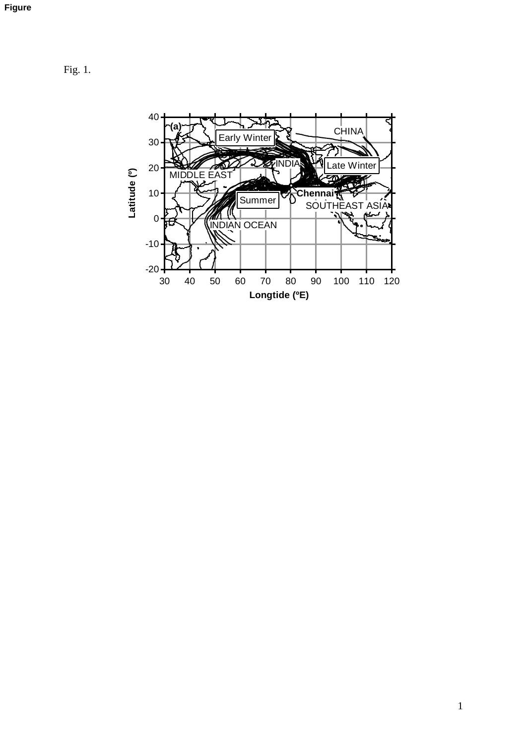Fig. 1.

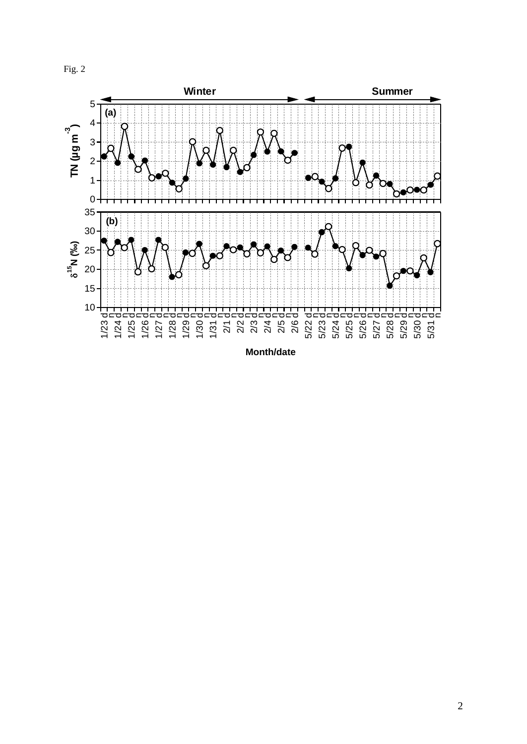



**Month/date**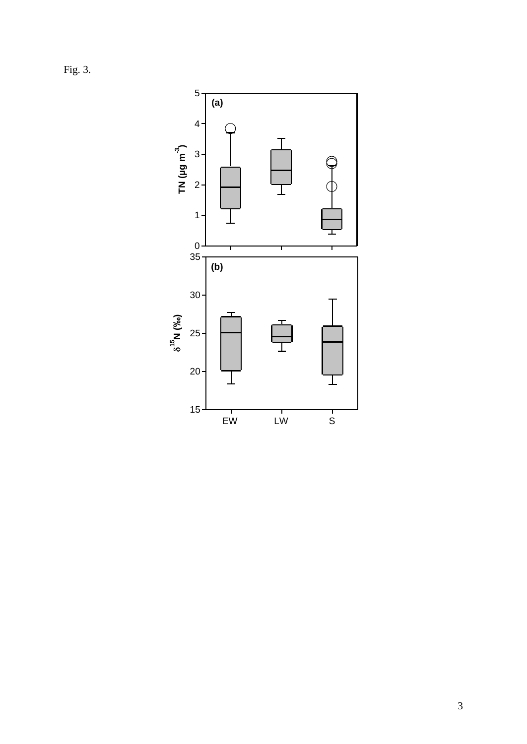Fig. 3.

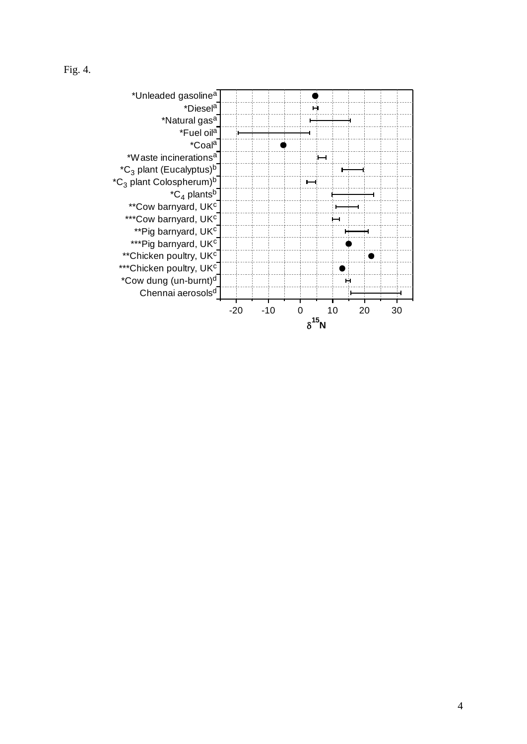

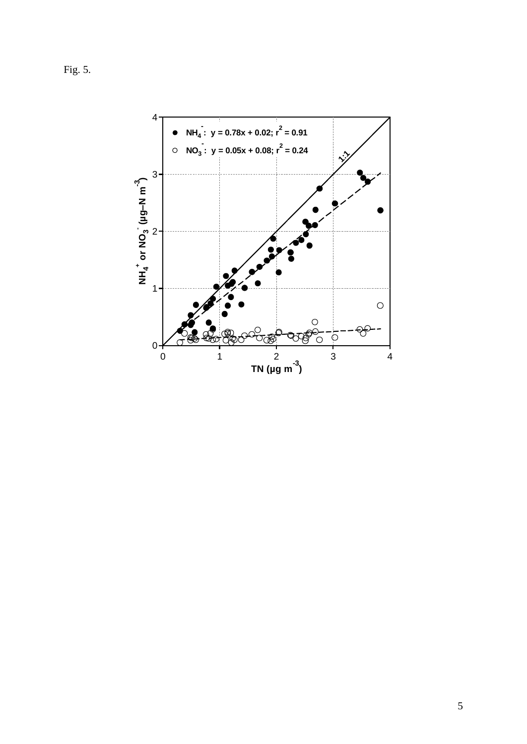Fig. 5.

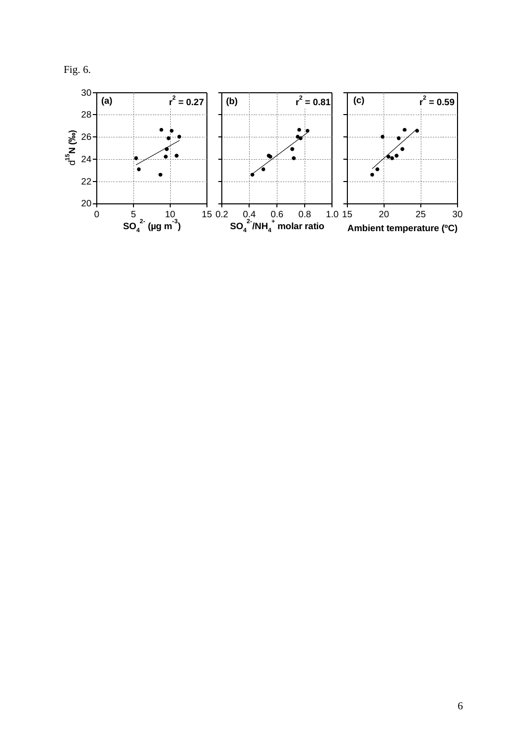

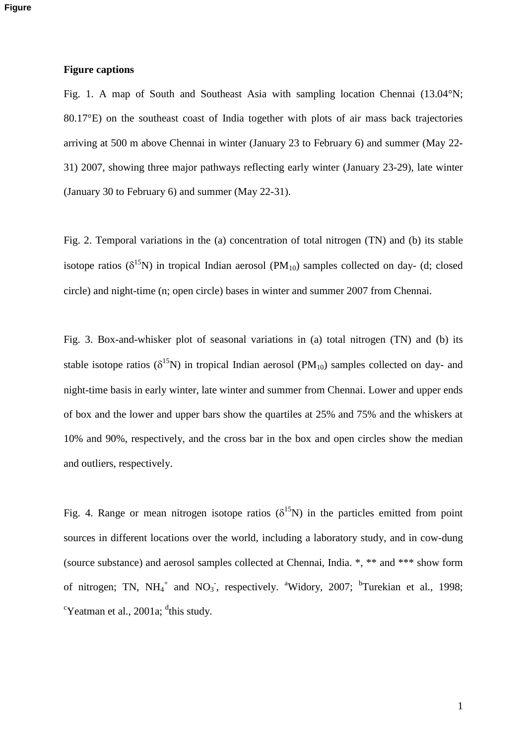#### **Figure captions**

Fig. 1. A map of South and Southeast Asia with sampling location Chennai (13.04°N; 80.17°E) on the southeast coast of India together with plots of air mass back trajectories arriving at 500 m above Chennai in winter (January 23 to February 6) and summer (May 22- 31) 2007, showing three major pathways reflecting early winter (January 23-29), late winter (January 30 to February 6) and summer (May 22-31).

Fig. 2. Temporal variations in the (a) concentration of total nitrogen (TN) and (b) its stable isotope ratios ( $\delta^{15}N$ ) in tropical Indian aerosol (PM<sub>10</sub>) samples collected on day- (d; closed circle) and night-time (n; open circle) bases in winter and summer 2007 from Chennai.

Fig. 3. Box-and-whisker plot of seasonal variations in (a) total nitrogen (TN) and (b) its stable isotope ratios ( $\delta^{15}N$ ) in tropical Indian aerosol (PM<sub>10</sub>) samples collected on day- and night-time basis in early winter, late winter and summer from Chennai. Lower and upper ends of box and the lower and upper bars show the quartiles at 25% and 75% and the whiskers at 10% and 90%, respectively, and the cross bar in the box and open circles show the median and outliers, respectively.

Fig. 4. Range or mean nitrogen isotope ratios ( $\delta^{15}N$ ) in the particles emitted from point sources in different locations over the world, including a laboratory study, and in cow-dung (source substance) and aerosol samples collected at Chennai, India. \*, \*\* and \*\*\* show form of nitrogen; TN,  $NH_4^+$  and  $NO_3^-$ , respectively. <sup>a</sup>Widory, 2007; <sup>b</sup>Turekian et al., 1998;  $\mathrm{c}$ Yeatman et al., 2001a;  $\mathrm{d}$ this study.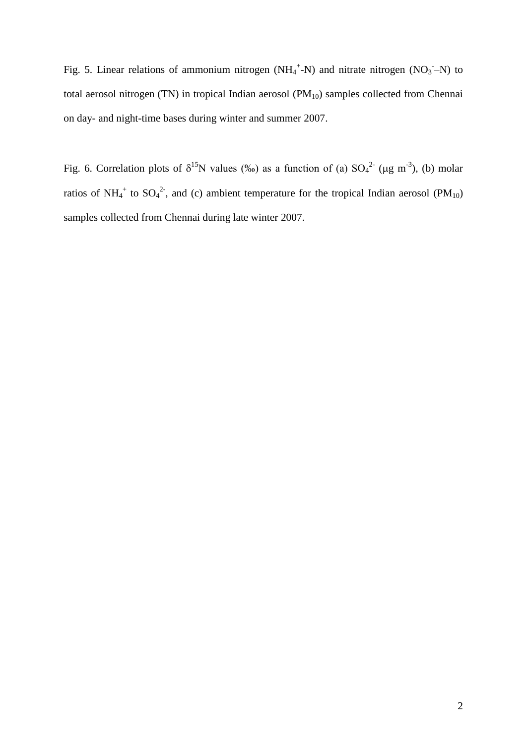Fig. 5. Linear relations of ammonium nitrogen ( $NH_4^+$ -N) and nitrate nitrogen ( $NO_3$ -N) to total aerosol nitrogen (TN) in tropical Indian aerosol  $(PM_{10})$  samples collected from Chennai on day- and night-time bases during winter and summer 2007.

Fig. 6. Correlation plots of  $\delta^{15}N$  values (‰) as a function of (a) SO<sub>4</sub><sup>2-</sup> (µg m<sup>-3</sup>), (b) molar ratios of NH<sub>4</sub><sup>+</sup> to SO<sub>4</sub><sup>2-</sup>, and (c) ambient temperature for the tropical Indian aerosol (PM<sub>10</sub>) samples collected from Chennai during late winter 2007.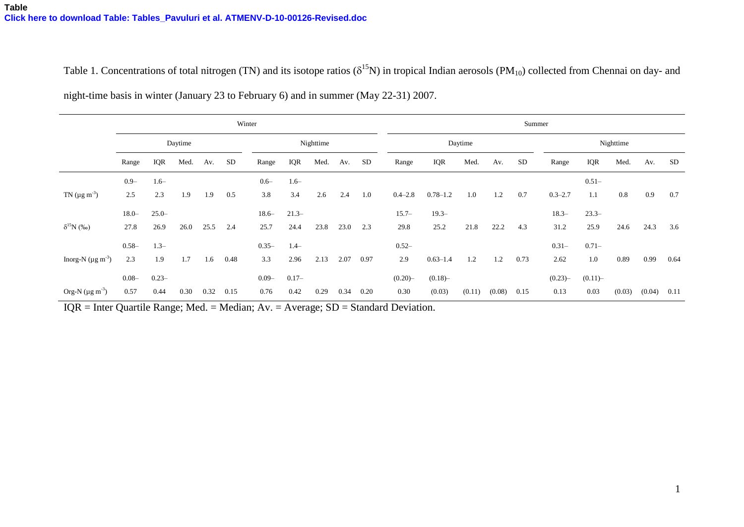Table 1. Concentrations of total nitrogen (TN) and its isotope ratios ( $\delta^{15}N$ ) in tropical Indian aerosols (PM<sub>10</sub>) collected from Chennai on day- and night-time basis in winter (January 23 to February 6) and in summer (May 22-31) 2007.

|                                     | Winter   |          |      |      |           |           |          |      |      | Summer    |             |              |        |        |           |             |          |        |        |      |
|-------------------------------------|----------|----------|------|------|-----------|-----------|----------|------|------|-----------|-------------|--------------|--------|--------|-----------|-------------|----------|--------|--------|------|
|                                     | Daytime  |          |      |      |           | Nighttime |          |      |      |           | Daytime     |              |        |        |           | Nighttime   |          |        |        |      |
|                                     | Range    | IQR      | Med. | Av.  | <b>SD</b> | Range     | IQR      | Med. | Av.  | <b>SD</b> | Range       | IQR          | Med.   | Av.    | <b>SD</b> | Range       | IQR      | Med.   | Av.    | SD   |
|                                     | $0.9 -$  | $1.6-$   |      |      |           | $0.6 -$   | $1.6-$   |      |      |           |             |              |        |        |           |             | $0.51 -$ |        |        |      |
| TN ( $\mu$ g m <sup>-3</sup> )      | 2.5      | 2.3      | 1.9  | 1.9  | 0.5       | 3.8       | 3.4      | 2.6  | 2.4  | 1.0       | $0.4 - 2.8$ | $0.78 - 1.2$ | 1.0    | 1.2    | 0.7       | $0.3 - 2.7$ | 1.1      | 0.8    | 0.9    | 0.7  |
|                                     | $18.0 -$ | $25.0 -$ |      |      |           | $18.6-$   | $21.3-$  |      |      |           | $15.7-$     | $19.3 -$     |        |        |           | $18.3-$     | $23.3-$  |        |        |      |
| $\delta^{15}N$ (%o)                 | 27.8     | 26.9     | 26.0 | 25.5 | 2.4       | 25.7      | 24.4     | 23.8 | 23.0 | 2.3       | 29.8        | 25.2         | 21.8   | 22.2   | 4.3       | 31.2        | 25.9     | 24.6   | 24.3   | 3.6  |
|                                     | $0.58 -$ | $1.3-$   |      |      |           | $0.35 -$  | $1.4-$   |      |      |           | $0.52 -$    |              |        |        |           | $0.31 -$    | $0.71 -$ |        |        |      |
| Inorg-N ( $\mu$ g m <sup>-3</sup> ) | 2.3      | 1.9      | 1.7  | 1.6  | 0.48      | 3.3       | 2.96     | 2.13 | 2.07 | 0.97      | 2.9         | $0.63 - 1.4$ | 1.2    | 1.2    | 0.73      | 2.62        | 1.0      | 0.89   | 0.99   | 0.64 |
|                                     | $0.08 -$ | $0.23 -$ |      |      |           | $0.09 -$  | $0.17 -$ |      |      |           | (0.20)      | (0.18)       |        |        |           | (0.23)      | (0.11)   |        |        |      |
| Org-N $(\mu g \, m^{-3})$           | 0.57     | 0.44     | 0.30 | 0.32 | 0.15      | 0.76      | 0.42     | 0.29 | 0.34 | 0.20      | 0.30        | (0.03)       | (0.11) | (0.08) | 0.15      | 0.13        | 0.03     | (0.03) | (0.04) | 0.11 |

IQR = Inter Quartile Range; Med. = Median; Av. = Average; SD = Standard Deviation.